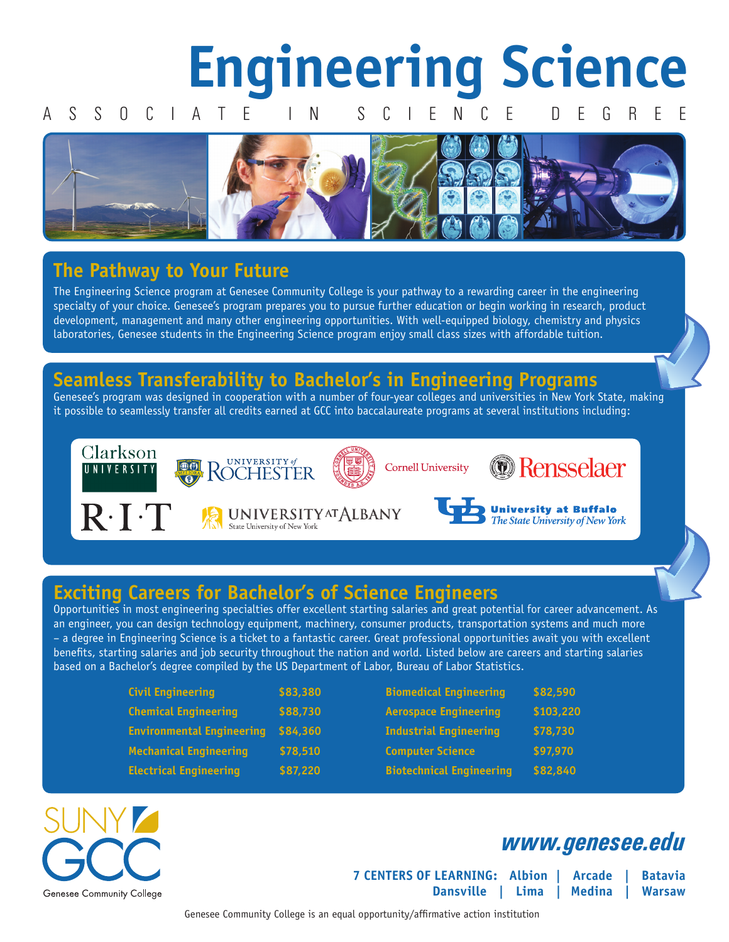## **Engineering Science** A S S O C I A T E I N S C I E N C E D E G R E E

### **The Pathway to Your Future**

The Engineering Science program at Genesee Community College is your pathway to a rewarding career in the engineering specialty of your choice. Genesee's program prepares you to pursue further education or begin working in research, product development, management and many other engineering opportunities. With well-equipped biology, chemistry and physics laboratories, Genesee students in the Engineering Science program enjoy small class sizes with affordable tuition.

### **Seamless Transferability to Bachelor's in Engineering Programs**

Genesee's program was designed in cooperation with a number of four-year colleges and universities in New York State, making it possible to seamlessly transfer all credits earned at GCC into baccalaureate programs at several institutions including:



 $R \cdot I \cdot T$ 





### *<u>* Rensselaer</u>

**UNIVERSITY AT ALBANY** State University of New York



**University at Buffalo**<br>The State University of New York

### **Exciting Careers for Bachelor's of Science Engineers**

Opportunities in most engineering specialties offer excellent starting salaries and great potential for career advancement. As an engineer, you can design technology equipment, machinery, consumer products, transportation systems and much more – a degree in Engineering Science is a ticket to a fantastic career. Great professional opportunities await you with excellent benefits, starting salaries and job security throughout the nation and world. Listed below are careers and starting salaries based on a Bachelor's degree compiled by the US Department of Labor, Bureau of Labor Statistics.

| <b>Civil Engineering</b>         | \$83,380 | <b>Biomedical Engineering</b>   | \$82,590  |
|----------------------------------|----------|---------------------------------|-----------|
| <b>Chemical Engineering</b>      | \$88,730 | <b>Aerospace Engineering</b>    | \$103,220 |
| <b>Environmental Engineering</b> | \$84,360 | <b>Industrial Engineering</b>   | \$78,730  |
| <b>Mechanical Engineering</b>    | \$78,510 | <b>Computer Science</b>         | \$97,970  |
| <b>Electrical Engineering</b>    | \$87,220 | <b>Biotechnical Engineering</b> | \$82,840  |



### *www.genesee.edu*

**7 CENTERS OF LEARNING: Albion | Arcade | Batavia Dansville | Lima | Medina | Warsaw**